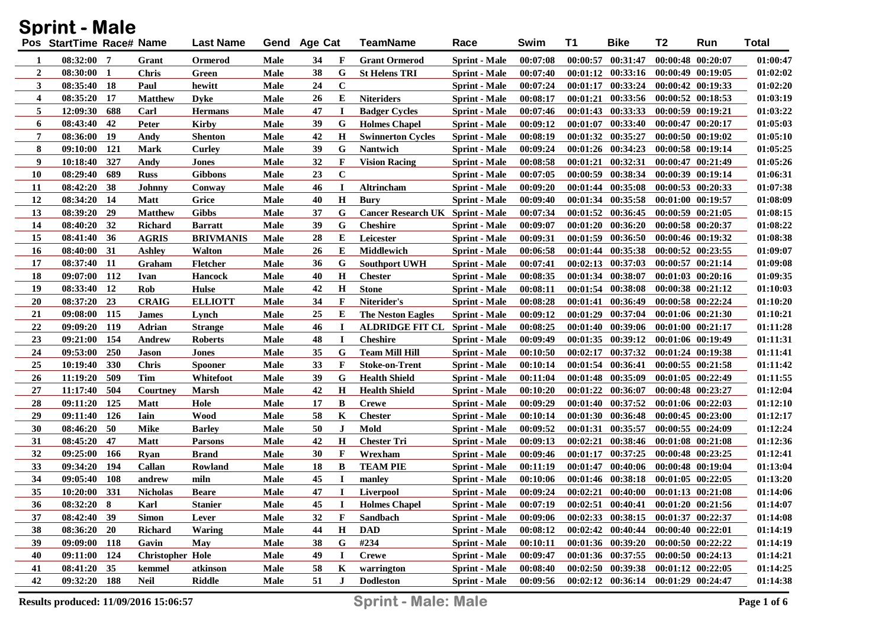|    | <b>Sprint - Male</b>     |            |                         |                  |      |              |             |                                  |                      |          |          |                                     |                       |                       |              |
|----|--------------------------|------------|-------------------------|------------------|------|--------------|-------------|----------------------------------|----------------------|----------|----------|-------------------------------------|-----------------------|-----------------------|--------------|
|    | Pos StartTime Race# Name |            |                         | <b>Last Name</b> |      | Gend Age Cat |             | <b>TeamName</b>                  | Race                 | Swim     | T1       | <b>Bike</b>                         | T2                    | Run                   | <b>Total</b> |
| 1  | 08:32:00 7               |            | Grant                   | Ormerod          | Male | 34           | F           | <b>Grant Ormerod</b>             | <b>Sprint</b> - Male | 00:07:08 | 00:00:57 | 00:31:47                            |                       | 00:00:48 00:20:07     | 01:00:47     |
| 2  | $08:30:00$ 1             |            | <b>Chris</b>            | Green            | Male | 38           | G           | <b>St Helens TRI</b>             | <b>Sprint</b> - Male | 00:07:40 |          | $00:01:12$ $00:33:16$               |                       | $00:00:49$ $00:19:05$ | 01:02:02     |
| 3  | 08:35:40 18              |            | Paul                    | hewitt           | Male | 24           | $\mathbf C$ |                                  | <b>Sprint</b> - Male | 00:07:24 |          | $00:01:17$ $00:33:24$               |                       | $00:00:42$ $00:19:33$ | 01:02:20     |
| 4  | 08:35:20                 | -17        | <b>Matthew</b>          | <b>D</b> vke     | Male | 26           | E           | <b>Niteriders</b>                | <b>Sprint</b> - Male | 00:08:17 | 00:01:21 | 00:33:56                            |                       | $00:00:52$ $00:18:53$ | 01:03:19     |
| 5  | 12:09:30                 | 688        | Carl                    | <b>Hermans</b>   | Male | 47           | $\bf{I}$    | <b>Badger Cycles</b>             | <b>Sprint</b> - Male | 00:07:46 |          | 00:01:43 00:33:33                   |                       | $00:00:59$ $00:19:21$ | 01:03:22     |
| 6  | 08:43:40                 | 42         | Peter                   | <b>Kirby</b>     | Male | 39           | G           | <b>Holmes Chapel</b>             | <b>Sprint</b> - Male | 00:09:12 | 00:01:07 | 00:33:40                            | $00:00:47$ $00:20:17$ |                       | 01:05:03     |
| 7  | 08:36:00                 | <b>19</b>  | Andy                    | <b>Shenton</b>   | Male | 42           | H           | <b>Swinnerton Cycles</b>         | <b>Sprint</b> - Male | 00:08:19 |          | $00:01:32$ $00:35:27$               |                       | 00:00:50 00:19:02     | 01:05:10     |
| 8  | 09:10:00                 | 121        | <b>Mark</b>             | <b>Curley</b>    | Male | 39           | G           | Nantwich                         | <b>Sprint</b> - Male | 00:09:24 |          | $00:01:26$ $00:34:23$               |                       | $00:00:58$ $00:19:14$ | 01:05:25     |
| 9  | 10:18:40                 | 327        | Andy                    | Jones            | Male | 32           | F           | <b>Vision Racing</b>             | <b>Sprint</b> - Male | 00:08:58 | 00:01:21 | 00:32:31                            |                       | 00:00:47 00:21:49     | 01:05:26     |
| 10 | 08:29:40                 | 689        | <b>Russ</b>             | <b>Gibbons</b>   | Male | 23           | $\mathbf C$ |                                  | <b>Sprint</b> - Male | 00:07:05 | 00:00:59 | 00:38:34                            |                       | 00:00:39 00:19:14     | 01:06:31     |
| 11 | 08:42:20                 | 38         | Johnny                  | Conway           | Male | 46           | $\bf{I}$    | Altrincham                       | <b>Sprint</b> - Male | 00:09:20 |          | $00:01:44$ $00:35:08$               |                       | 00:00:53 00:20:33     | 01:07:38     |
| 12 | 08:34:20                 | -14        | Matt                    | Grice            | Male | 40           | H           | <b>Bury</b>                      | <b>Sprint</b> - Male | 00:09:40 |          | $00:01:34$ $00:35:58$               | 00:01:00 00:19:57     |                       | 01:08:09     |
| 13 | 08:39:20                 | 29         | <b>Matthew</b>          | <b>Gibbs</b>     | Male | 37           | G           | Cancer Research UK Sprint - Male |                      | 00:07:34 |          | $00:01:52$ $00:36:45$               |                       | $00:00:59$ $00:21:05$ | 01:08:15     |
| 14 | 08:40:20                 | 32         | Richard                 | <b>Barratt</b>   | Male | 39           | G           | <b>Cheshire</b>                  | <b>Sprint</b> - Male | 00:09:07 |          | $00:01:20$ $00:36:20$               | 00:00:58 00:20:37     |                       | 01:08:22     |
| 15 | 08:41:40                 | 36         | <b>AGRIS</b>            | <b>BRIVMANIS</b> | Male | 28           | E           | Leicester                        | <b>Sprint</b> - Male | 00:09:31 |          | $00:01:59$ $00:36:50$               |                       | $00:00:46$ $00:19:32$ | 01:08:38     |
| 16 | 08:40:00                 | 31         | Ashley                  | <b>Walton</b>    | Male | 26           | E           | <b>Middlewich</b>                | <b>Sprint</b> - Male | 00:06:58 |          | $00:01:44$ $00:35:38$               |                       | $00:00:52$ $00:23:55$ | 01:09:07     |
| 17 | 08:37:40                 | <b>11</b>  | Graham                  | <b>Fletcher</b>  | Male | 36           | G           | <b>Southport UWH</b>             | <b>Sprint</b> - Male | 00:07:41 |          | $00:02:13$ $00:37:03$               |                       | 00:00:57 00:21:14     | 01:09:08     |
| 18 | 09:07:00                 | 112        | Ivan                    | <b>Hancock</b>   | Male | 40           | $\mathbf H$ | <b>Chester</b>                   | <b>Sprint</b> - Male | 00:08:35 |          | 00:01:34 00:38:07                   |                       | 00:01:03 00:20:16     | 01:09:35     |
| 19 | 08:33:40                 | 12         | Rob                     | <b>Hulse</b>     | Male | 42           | $\mathbf H$ | <b>Stone</b>                     | <b>Sprint</b> - Male | 00:08:11 |          | $00:01:54$ $00:38:08$               |                       | 00:00:38 00:21:12     | 01:10:03     |
| 20 | 08:37:20                 | 23         | <b>CRAIG</b>            | <b>ELLIOTT</b>   | Male | 34           | F           | Niterider's                      | <b>Sprint</b> - Male | 00:08:28 |          | 00:01:41 00:36:49                   |                       | 00:00:58 00:22:24     | 01:10:20     |
| 21 | 09:08:00                 | 115        | <b>James</b>            | Lynch            | Male | 25           | E           | <b>The Neston Eagles</b>         | <b>Sprint</b> - Male | 00:09:12 |          | $00:01:29$ $00:37:04$               |                       | 00:01:06 00:21:30     | 01:10:21     |
| 22 | 09:09:20                 | 119        | Adrian                  | <b>Strange</b>   | Male | 46           | $\bf{I}$    | <b>ALDRIDGE FIT CL</b>           | <b>Sprint - Male</b> | 00:08:25 |          | 00:01:40 00:39:06                   |                       | $00:01:00$ $00:21:17$ | 01:11:28     |
| 23 | 09:21:00                 | 154        | Andrew                  | <b>Roberts</b>   | Male | 48           | $\bf{I}$    | <b>Cheshire</b>                  | <b>Sprint</b> - Male | 00:09:49 |          | $00:01:35$ $00:39:12$               |                       | 00:01:06 00:19:49     | 01:11:31     |
| 24 | 09:53:00                 | 250        | Jason                   | <b>Jones</b>     | Male | 35           | G           | <b>Team Mill Hill</b>            | <b>Sprint</b> - Male | 00:10:50 |          | $00:02:17$ $00:37:32$               | 00:01:24 00:19:38     |                       | 01:11:41     |
| 25 | 10:19:40                 | 330        | <b>Chris</b>            | <b>Spooner</b>   | Male | 33           | F           | <b>Stoke-on-Trent</b>            | <b>Sprint</b> - Male | 00:10:14 |          | 00:01:54 00:36:41                   |                       | 00:00:55 00:21:58     | 01:11:42     |
| 26 | 11:19:20                 | 509        | Tim                     | Whitefoot        | Male | 39           | G           | <b>Health Shield</b>             | <b>Sprint</b> - Male | 00:11:04 |          | 00:01:48 00:35:09                   |                       | $00:01:05$ $00:22:49$ | 01:11:55     |
| 27 | 11:17:40                 | 504        | Courtney                | <b>Marsh</b>     | Male | 42           | $\mathbf H$ | <b>Health Shield</b>             | <b>Sprint</b> - Male | 00:10:20 |          | $00:01:22$ $00:36:07$               | $00:00:48$ $00:23:27$ |                       | 01:12:04     |
| 28 | 09:11:20                 | 125        | <b>Matt</b>             | Hole             | Male | 17           | B           | <b>Crewe</b>                     | <b>Sprint</b> - Male | 00:09:29 |          | $00:01:40$ $00:37:52$               |                       | 00:01:06 00:22:03     | 01:12:10     |
| 29 | 09:11:40                 | 126        | Iain                    | Wood             | Male | 58           | K           | <b>Chester</b>                   | <b>Sprint</b> - Male | 00:10:14 |          | 00:01:30 00:36:48                   |                       | $00:00:45$ $00:23:00$ | 01:12:17     |
| 30 | 08:46:20                 | 50         | Mike                    | <b>Barley</b>    | Male | 50           | $\bf J$     | Mold                             | <b>Sprint</b> - Male | 00:09:52 | 00:01:31 | 00:35:57                            | 00:00:55 00:24:09     |                       | 01:12:24     |
| 31 | 08:45:20                 | 47         | Matt                    | Parsons          | Male | 42           | H           | <b>Chester Tri</b>               | <b>Sprint</b> - Male | 00:09:13 | 00:02:21 | 00:38:46                            |                       | $00:01:08$ $00:21:08$ | 01:12:36     |
| 32 | 09:25:00                 | 166        | Ryan                    | <b>Brand</b>     | Male | 30           | F           | Wrexham                          | <b>Sprint - Male</b> | 00:09:46 | 00:01:17 | 00:37:25                            |                       | 00:00:48 00:23:25     | 01:12:41     |
| 33 | 09:34:20                 | 194        | Callan                  | Rowland          | Male | 18           | B           | <b>TEAM PIE</b>                  | <b>Sprint</b> - Male | 00:11:19 | 00:01:47 | 00:40:06                            |                       | 00:00:48 00:19:04     | 01:13:04     |
| 34 | 09:05:40                 | <b>108</b> | andrew                  | miln             | Male | 45           | $\bf{I}$    | manley                           | <b>Sprint - Male</b> | 00:10:06 |          | 00:01:46 00:38:18                   |                       | $00:01:05$ $00:22:05$ | 01:13:20     |
| 35 | 10:20:00                 | 331        | <b>Nicholas</b>         | <b>Beare</b>     | Male | 47           | $\bf{I}$    | <b>Liverpool</b>                 | <b>Sprint</b> - Male | 00:09:24 | 00:02:21 | 00:40:00                            | 00:01:13 00:21:08     |                       | 01:14:06     |
| 36 | 08:32:20 8               |            | Karl                    | <b>Stanier</b>   | Male | 45           | $\bf{I}$    | <b>Holmes Chapel</b>             | <b>Sprint - Male</b> | 00:07:19 |          | 00:02:51 00:40:41 00:01:20 00:21:56 |                       |                       | 01:14:07     |
| 37 | 08:42:40 39              |            | <b>Simon</b>            | Lever            | Male | 32           | F           | Sandbach                         | <b>Sprint - Male</b> | 00:09:06 |          | $00:02:33$ $00:38:15$               | 00:01:37 00:22:37     |                       | 01:14:08     |
| 38 | 08:36:20                 | <b>20</b>  | Richard                 | Waring           | Male | 44           | $\mathbf H$ | <b>DAD</b>                       | <b>Sprint - Male</b> | 00:08:12 |          | $00:02:42$ $00:40:44$               | $00:00:40$ $00:22:01$ |                       | 01:14:19     |
| 39 | 09:09:00                 | 118        | Gavin                   | May              | Male | 38           | G           | #234                             | <b>Sprint - Male</b> | 00:10:11 |          | 00:01:36 00:39:20                   | $00:00:50$ $00:22:22$ |                       | 01:14:19     |
| 40 | 09:11:00 124             |            | <b>Christopher Hole</b> |                  | Male | 49           | $\bf{I}$    | <b>Crewe</b>                     | <b>Sprint - Male</b> | 00:09:47 |          | 00:01:36 00:37:55                   | $00:00:50$ $00:24:13$ |                       | 01:14:21     |
| 41 | 08:41:20 35              |            | kemmel                  | atkinson         | Male | 58           | K           | warrington                       | <b>Sprint - Male</b> | 00:08:40 |          | $00:02:50$ $00:39:38$               | $00:01:12$ $00:22:05$ |                       | 01:14:25     |
| 42 | 09:32:20 188             |            | Neil                    | <b>Riddle</b>    | Male | 51           | $\bf J$     | <b>Dodleston</b>                 | <b>Sprint</b> - Male | 00:09:56 |          | 00:02:12 00:36:14 00:01:29 00:24:47 |                       |                       | 01:14:38     |

Conint Male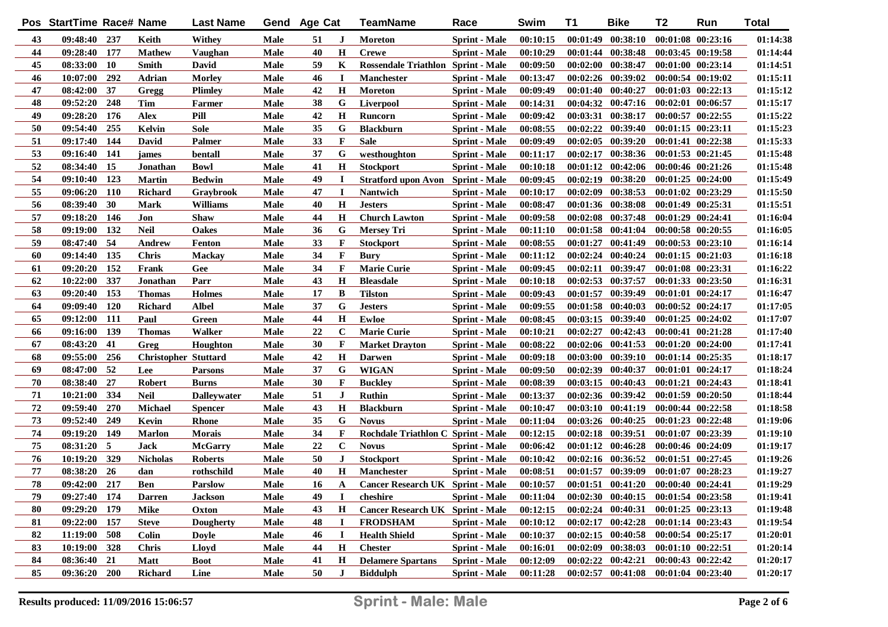|    | Pos StartTime Race# Name |            |                             | <b>Last Name</b>   |             | Gend Age Cat |              | TeamName                                 | Race                 | Swim     | <b>T1</b> | <b>Bike</b>                                 | T <sub>2</sub>        | Run                   | <b>Total</b> |
|----|--------------------------|------------|-----------------------------|--------------------|-------------|--------------|--------------|------------------------------------------|----------------------|----------|-----------|---------------------------------------------|-----------------------|-----------------------|--------------|
| 43 | 09:48:40 237             |            | Keith                       | Withey             | Male        | 51           | J            | <b>Moreton</b>                           | <b>Sprint</b> - Male | 00:10:15 |           | $00:01:49$ $00:38:10$                       |                       | $00:01:08$ $00:23:16$ | 01:14:38     |
| 44 | 09:28:40 177             |            | <b>Mathew</b>               | Vaughan            | Male        | 40           | H            | <b>Crewe</b>                             | <b>Sprint</b> - Male | 00:10:29 |           | 00:01:44 00:38:48                           | $00:03:45$ $00:19:58$ |                       | 01:14:44     |
| 45 | 08:33:00                 | <b>10</b>  | Smith                       | David              | Male        | 59           | K            | Rossendale Triathlon Sprint - Male       |                      | 00:09:50 |           | 00:02:00 00:38:47                           |                       | $00:01:00$ $00:23:14$ | 01:14:51     |
| 46 | 10:07:00                 | 292        | Adrian                      | <b>Morley</b>      | Male        | 46           | T            | <b>Manchester</b>                        | <b>Sprint</b> - Male | 00:13:47 |           | 00:02:26 00:39:02                           | $00:00:54$ $00:19:02$ |                       | 01:15:11     |
| 47 | 08:42:00                 | 37         | Gregg                       | <b>Plimley</b>     | <b>Male</b> | 42           | $\mathbf H$  | <b>Moreton</b>                           | <b>Sprint</b> - Male | 00:09:49 |           | 00:01:40 00:40:27                           |                       | $00:01:03$ $00:22:13$ | 01:15:12     |
| 48 | 09:52:20                 | 248        | <b>Tim</b>                  | Farmer             | <b>Male</b> | 38           | G            | Liverpool                                | <b>Sprint</b> - Male | 00:14:31 |           | 00:04:32 00:47:16                           |                       | $00:02:01$ $00:06:57$ | 01:15:17     |
| 49 | 09:28:20                 | 176        | <b>Alex</b>                 | Pill               | <b>Male</b> | 42           | $\mathbf H$  | Runcorn                                  | <b>Sprint</b> - Male | 00:09:42 |           | 00:03:31 00:38:17                           | $00:00:57$ $00:22:55$ |                       | 01:15:22     |
| 50 | 09:54:40                 | 255        | Kelvin                      | <b>Sole</b>        | <b>Male</b> | 35           | G            | <b>Blackburn</b>                         | <b>Sprint</b> - Male | 00:08:55 |           | $00:02:22$ $00:39:40$                       | $00:01:15$ $00:23:11$ |                       | 01:15:23     |
| 51 | 09:17:40                 | 144        | <b>David</b>                | Palmer             | <b>Male</b> | 33           | F            | <b>Sale</b>                              | <b>Sprint</b> - Male | 00:09:49 |           | $00:02:05$ $00:39:20$                       | $00:01:41$ $00:22:38$ |                       | 01:15:33     |
| 53 | 09:16:40                 | 141        | james                       | bentall            | Male        | 37           | G            | westhoughton                             | <b>Sprint</b> - Male | 00:11:17 |           | 00:02:17 00:38:36                           | $00:01:53$ $00:21:45$ |                       | 01:15:48     |
| 52 | 08:34:40 15              |            | Jonathan                    | <b>Bowl</b>        | Male        | 41           | $\mathbf H$  | <b>Stockport</b>                         | <b>Sprint - Male</b> | 00:10:18 |           | $00:01:12$ $00:42:06$                       | 00:00:46 00:21:26     |                       | 01:15:48     |
| 54 | 09:10:40                 | 123        | <b>Martin</b>               | <b>Bedwin</b>      | <b>Male</b> | 49           | <b>I</b>     | <b>Stratford upon Avon Sprint - Male</b> |                      | 00:09:45 |           | $00:02:19$ $00:38:20$                       | $00:01:25$ $00:24:00$ |                       | 01:15:49     |
| 55 | 09:06:20                 | <b>110</b> | <b>Richard</b>              | Graybrook          | Male        | 47           | $\mathbf I$  | Nantwich                                 | <b>Sprint</b> - Male | 00:10:17 |           | 00:02:09 00:38:53                           | $00:01:02$ $00:23:29$ |                       | 01:15:50     |
| 56 | 08:39:40                 | 30         | <b>Mark</b>                 | <b>Williams</b>    | <b>Male</b> | 40           | $\mathbf H$  | <b>Jesters</b>                           | <b>Sprint</b> - Male | 00:08:47 |           | 00:01:36 00:38:08                           | 00:01:49 00:25:31     |                       | 01:15:51     |
| 57 | 09:18:20                 | 146        | Jon                         | <b>Shaw</b>        | <b>Male</b> | 44           | $\mathbf H$  | <b>Church Lawton</b>                     | <b>Sprint</b> - Male | 00:09:58 |           | $00:02:08$ $00:37:48$                       | $00:01:29$ $00:24:41$ |                       | 01:16:04     |
| 58 | 09:19:00                 | 132        | <b>Neil</b>                 | Oakes              | Male        | 36           | G            | <b>Mersey Tri</b>                        | <b>Sprint</b> - Male | 00:11:10 |           | 00:01:58 00:41:04                           | $00:00:58$ $00:20:55$ |                       | 01:16:05     |
| 59 | 08:47:40                 | -54        | Andrew                      | <b>Fenton</b>      | <b>Male</b> | 33           | $\mathbf F$  | <b>Stockport</b>                         | <b>Sprint</b> - Male | 00:08:55 |           | 00:01:27 00:41:49                           | $00:00:53$ $00:23:10$ |                       | 01:16:14     |
| 60 | 09:14:40                 | 135        | <b>Chris</b>                | <b>Mackay</b>      | <b>Male</b> | 34           | F            | <b>Bury</b>                              | <b>Sprint - Male</b> | 00:11:12 |           | 00:02:24 00:40:24                           |                       | $00:01:15$ $00:21:03$ | 01:16:18     |
| 61 | 09:20:20                 | 152        | Frank                       | Gee                | Male        | 34           | $\mathbf{F}$ | <b>Marie Curie</b>                       | <b>Sprint</b> - Male | 00:09:45 |           | 00:02:11 00:39:47                           |                       | 00:01:08 00:23:31     | 01:16:22     |
| 62 | 10:22:00                 | 337        | Jonathan                    | Parr               | Male        | 43           | $\mathbf H$  | <b>Bleasdale</b>                         | <b>Sprint</b> - Male | 00:10:18 |           | 00:02:53 00:37:57                           | 00:01:33 00:23:50     |                       | 01:16:31     |
| 63 | 09:20:40                 | 153        | <b>Thomas</b>               | <b>Holmes</b>      | Male        | 17           | B            | <b>Tilston</b>                           | <b>Sprint</b> - Male | 00:09:43 |           | 00:01:57 00:39:49                           | $00:01:01$ $00:24:17$ |                       | 01:16:47     |
| 64 | 09:09:40                 | 120        | <b>Richard</b>              | <b>Albel</b>       | Male        | 37           | G            | <b>Jesters</b>                           | <b>Sprint</b> - Male | 00:09:55 |           | $00:01:58$ $00:40:03$                       | 00:00:52 00:24:17     |                       | 01:17:05     |
| 65 | 09:12:00                 | 111        | Paul                        | Green              | Male        | 44           | $\mathbf H$  | Ewloe                                    | <b>Sprint - Male</b> | 00:08:45 |           | $00:03:15$ $00:39:40$                       | $00:01:25$ $00:24:02$ |                       | 01:17:07     |
| 66 | 09:16:00                 | 139        | <b>Thomas</b>               | Walker             | Male        | 22           | $\mathbf C$  | <b>Marie Curie</b>                       | <b>Sprint</b> - Male | 00:10:21 |           | 00:02:27 00:42:43                           | 00:00:41 00:21:28     |                       | 01:17:40     |
| 67 | 08:43:20                 | 41         | Greg                        | Houghton           | Male        | 30           | $\mathbf F$  | <b>Market Drayton</b>                    | <b>Sprint</b> - Male | 00:08:22 |           | 00:02:06 00:41:53                           |                       | $00:01:20$ $00:24:00$ | 01:17:41     |
| 68 | 09:55:00                 | 256        | <b>Christopher Stuttard</b> |                    | Male        | 42           | $\mathbf H$  | <b>Darwen</b>                            | <b>Sprint</b> - Male | 00:09:18 |           | 00:03:00 00:39:10                           | $00:01:14$ $00:25:35$ |                       | 01:18:17     |
| 69 | 08:47:00                 | 52         | Lee                         | <b>Parsons</b>     | Male        | 37           | G            | <b>WIGAN</b>                             | <b>Sprint</b> - Male | 00:09:50 |           | 00:02:39 00:40:37                           |                       | 00:01:01 00:24:17     | 01:18:24     |
| 70 | 08:38:40                 | 27         | <b>Robert</b>               | <b>Burns</b>       | Male        | 30           | $\mathbf F$  | <b>Buckley</b>                           | <b>Sprint</b> - Male | 00:08:39 |           | $00:03:15$ $00:40:43$                       |                       | 00:01:21 00:24:43     | 01:18:41     |
| 71 | 10:21:00                 | 334        | <b>Neil</b>                 | <b>Dalleywater</b> | Male        | 51           | J            | Ruthin                                   | <b>Sprint</b> - Male | 00:13:37 |           | 00:02:36 00:39:42                           |                       | 00:01:59 00:20:50     | 01:18:44     |
| 72 | 09:59:40                 | 270        | <b>Michael</b>              | <b>Spencer</b>     | Male        | 43           | $\mathbf H$  | <b>Blackburn</b>                         | <b>Sprint</b> - Male | 00:10:47 |           | 00:03:10 00:41:19                           | $00:00:44$ $00:22:58$ |                       | 01:18:58     |
| 73 | 09:52:40                 | 249        | Kevin                       | Rhone              | Male        | 35           | G            | <b>Novus</b>                             | <b>Sprint</b> - Male | 00:11:04 |           | $00:03:26$ $00:40:25$                       | $00:01:23$ $00:22:48$ |                       | 01:19:06     |
| 74 | 09:19:20                 | 149        | <b>Marlon</b>               | Morais             | Male        | 34           | $\mathbf F$  | Rochdale Triathlon C Sprint - Male       |                      | 00:12:15 |           | $00:02:18$ $00:39:51$                       | 00:01:07 00:23:39     |                       | 01:19:10     |
| 75 | 08:31:20                 | - 5        | <b>Jack</b>                 | <b>McGarry</b>     | Male        | 22           | $\mathbf C$  | <b>Novus</b>                             | <b>Sprint</b> - Male | 00:06:42 |           | $00:01:12$ $00:46:28$                       |                       | 00:00:46 00:24:09     | 01:19:17     |
| 76 | 10:19:20                 | 329        | <b>Nicholas</b>             | <b>Roberts</b>     | Male        | 50           | J            | <b>Stockport</b>                         | <b>Sprint</b> - Male | 00:10:42 |           | 00:02:16 00:36:52                           |                       | $00:01:51$ $00:27:45$ | 01:19:26     |
| 77 | 08:38:20                 | 26         | dan                         | rothschild         | Male        | 40           | $\mathbf H$  | <b>Manchester</b>                        | <b>Sprint</b> - Male | 00:08:51 |           | 00:01:57 00:39:09                           |                       | 00:01:07 00:28:23     | 01:19:27     |
| 78 | 09:42:00 217             |            | <b>Ben</b>                  | Parslow            | Male        | 16           | A            | <b>Cancer Research UK Sprint - Male</b>  |                      | 00:10:57 |           | $00:01:51$ $00:41:20$                       | $00:00:40$ $00:24:41$ |                       | 01:19:29     |
| 79 | $09:27:40$ 174           |            | <b>Darren</b>               | <b>Jackson</b>     | Male        | 49           | $\bf{I}$     | cheshire                                 | <b>Sprint - Male</b> | 00:11:04 |           | $00:02:30$ $00:40:15$ $00:01:54$ $00:23:58$ |                       |                       | 01:19:41     |
| 80 | $09:29:20$ 179           |            | Mike                        | Oxton              | Male        | 43           | H            | Cancer Research UK Sprint - Male         |                      | 00:12:15 |           | $00:02:24$ $00:40:31$                       | $00:01:25$ $00:23:13$ |                       | 01:19:48     |
| 81 | 09:22:00 157             |            | <b>Steve</b>                | <b>Dougherty</b>   | Male        | 48           | I            | <b>FRODSHAM</b>                          | <b>Sprint - Male</b> | 00:10:12 |           | $00:02:17$ $00:42:28$                       |                       | 00:01:14 00:23:43     | 01:19:54     |
| 82 | 11:19:00                 | 508        | Colin                       | Dovle              | Male        | 46           | $\bf{I}$     | <b>Health Shield</b>                     | <b>Sprint - Male</b> | 00:10:37 |           | $00:02:15$ $00:40:58$                       |                       | 00:00:54 00:25:17     | 01:20:01     |
| 83 | 10:19:00 328             |            | <b>Chris</b>                | Lloyd              | Male        | 44           | $\mathbf H$  | <b>Chester</b>                           | <b>Sprint - Male</b> | 00:16:01 |           | $00:02:09$ $00:38:03$                       |                       | 00:01:10 00:22:51     | 01:20:14     |
| 84 | $08:36:40$ 21            |            | <b>Matt</b>                 | <b>Boot</b>        | Male        | 41           | H            | <b>Delamere Spartans</b>                 | <b>Sprint - Male</b> | 00:12:09 |           | $00:02:22$ $00:42:21$                       |                       | 00:00:43 00:22:42     | 01:20:17     |
| 85 | 09:36:20 200             |            | <b>Richard</b>              | Line               | Male        | 50           | J            | <b>Biddulph</b>                          | <b>Sprint - Male</b> | 00:11:28 |           | $00:02:57$ $00:41:08$                       | 00:01:04 00:23:40     |                       | 01:20:17     |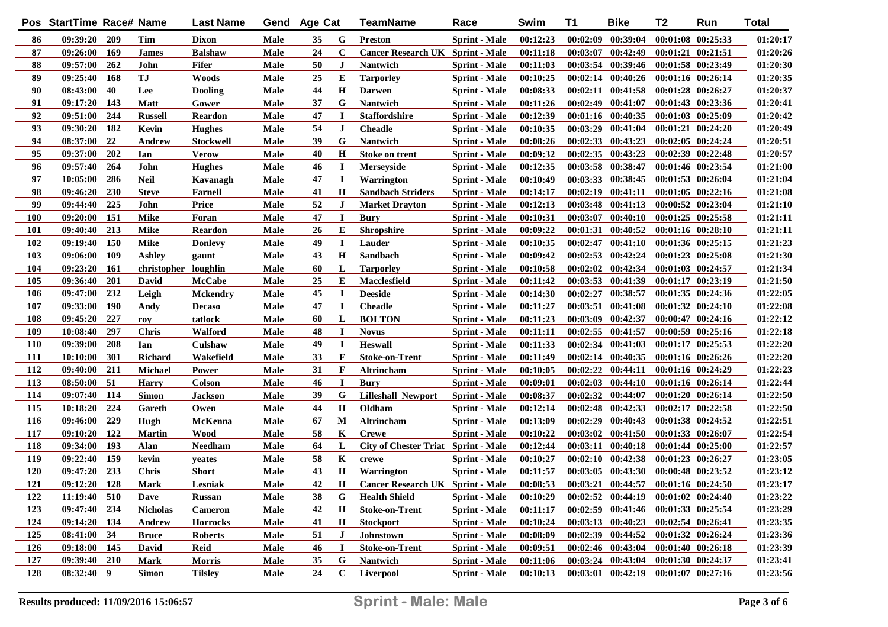|            | Pos StartTime Race# Name |            |                      | <b>Last Name</b> | Gend        | <b>Age Cat</b> |              | TeamName                                   | Race                 | Swim     | T1       | <b>Bike</b>           | T2                    | Run                   | <b>Total</b> |
|------------|--------------------------|------------|----------------------|------------------|-------------|----------------|--------------|--------------------------------------------|----------------------|----------|----------|-----------------------|-----------------------|-----------------------|--------------|
| 86         | 09:39:20 209             |            | Tim                  | Dixon            | Male        | 35             | G            | <b>Preston</b>                             | <b>Sprint</b> - Male | 00:12:23 | 00:02:09 | 00:39:04              |                       | 00:01:08 00:25:33     | 01:20:17     |
| 87         | 09:26:00                 | 169        | <b>James</b>         | <b>Balshaw</b>   | Male        | 24             | C            | <b>Cancer Research UK Sprint - Male</b>    |                      | 00:11:18 |          | $00:03:07$ $00:42:49$ | $00:01:21$ $00:21:51$ |                       | 01:20:26     |
| 88         | 09:57:00                 | 262        | John                 | <b>Fifer</b>     | Male        | 50             | J.           | Nantwich                                   | <b>Sprint</b> - Male | 00:11:03 |          | 00:03:54 00:39:46     | 00:01:58 00:23:49     |                       | 01:20:30     |
| 89         | 09:25:40                 | 168        | <b>TJ</b>            | <b>Woods</b>     | Male        | 25             | E            | <b>Tarporley</b>                           | <b>Sprint</b> - Male | 00:10:25 |          | $00:02:14$ $00:40:26$ | $00:01:16$ $00:26:14$ |                       | 01:20:35     |
| 90         | 08:43:00                 | 40         | Lee                  | <b>Dooling</b>   | <b>Male</b> | 44             | $\mathbf H$  | <b>Darwen</b>                              | <b>Sprint</b> - Male | 00:08:33 |          | $00:02:11$ $00:41:58$ | $00:01:28$ $00:26:27$ |                       | 01:20:37     |
| 91         | 09:17:20                 | 143        | <b>Matt</b>          | Gower            | Male        | 37             | G            | <b>Nantwich</b>                            | <b>Sprint</b> - Male | 00:11:26 |          | 00:02:49 00:41:07     | 00:01:43 00:23:36     |                       | 01:20:41     |
| 92         | 09:51:00                 | 244        | <b>Russell</b>       | Reardon          | Male        | 47             | I            | <b>Staffordshire</b>                       | <b>Sprint</b> - Male | 00:12:39 |          | 00:01:16 00:40:35     | 00:01:03 00:25:09     |                       | 01:20:42     |
| 93         | 09:30:20                 | 182        | Kevin                | <b>Hughes</b>    | <b>Male</b> | 54             | $\mathbf{J}$ | <b>Cheadle</b>                             | <b>Sprint</b> - Male | 00:10:35 |          | 00:03:29 00:41:04     | $00:01:21$ $00:24:20$ |                       | 01:20:49     |
| 94         | 08:37:00                 | 22         | Andrew               | <b>Stockwell</b> | Male        | 39             | G            | <b>Nantwich</b>                            | <b>Sprint - Male</b> | 00:08:26 |          | 00:02:33 00:43:23     | $00:02:05$ $00:24:24$ |                       | 01:20:51     |
| 95         | 09:37:00                 | 202        | Ian                  | Verow            | <b>Male</b> | 40             | $\bf H$      | <b>Stoke on trent</b>                      | <b>Sprint</b> - Male | 00:09:32 |          | 00:02:35 00:43:23     | $00:02:39$ $00:22:48$ |                       | 01:20:57     |
| 96         | 09:57:40                 | 264        | John                 | <b>Hughes</b>    | <b>Male</b> | 46             | $\bf{I}$     | <b>Merseyside</b>                          | <b>Sprint - Male</b> | 00:12:35 |          | 00:03:58 00:38:47     | 00:01:46 00:23:54     |                       | 01:21:00     |
| 97         | 10:05:00                 | 286        | <b>Neil</b>          | Kavanagh         | Male        | 47             | 1            | Warrington                                 | <b>Sprint</b> - Male | 00:10:49 |          | 00:03:33 00:38:45     | 00:01:53 00:26:04     |                       | 01:21:04     |
| 98         | 09:46:20                 | 230        | <b>Steve</b>         | <b>Farnell</b>   | Male        | 41             | $\bf H$      | <b>Sandbach Striders</b>                   | <b>Sprint</b> - Male | 00:14:17 |          | 00:02:19 00:41:11     | $00:01:05$ $00:22:16$ |                       | 01:21:08     |
| 99         | 09:44:40                 | 225        | John                 | Price            | Male        | 52             | J            | <b>Market Drayton</b>                      | <b>Sprint</b> - Male | 00:12:13 |          | 00:03:48 00:41:13     | $00:00:52$ $00:23:04$ |                       | 01:21:10     |
| <b>100</b> | 09:20:00                 | 151        | <b>Mike</b>          | Foran            | Male        | 47             | 1            | <b>Bury</b>                                | <b>Sprint</b> - Male | 00:10:31 |          | 00:03:07 00:40:10     | $00:01:25$ $00:25:58$ |                       | 01:21:11     |
| 101        | 09:40:40                 | 213        | <b>Mike</b>          | Reardon          | Male        | 26             | Е            | <b>Shropshire</b>                          | <b>Sprint</b> - Male | 00:09:22 |          | 00:01:31 00:40:52     |                       | $00:01:16$ $00:28:10$ | 01:21:11     |
| 102        | 09:19:40                 | 150        | <b>Mike</b>          | <b>Donlevy</b>   | Male        | 49             | $\bf I$      | Lauder                                     | <b>Sprint</b> - Male | 00:10:35 |          | $00:02:47$ $00:41:10$ |                       | $00:01:36$ $00:25:15$ | 01:21:23     |
| 103        | 09:06:00                 | 109        | Ashley               | gaunt            | Male        | 43             | $\mathbf H$  | Sandbach                                   | <b>Sprint</b> - Male | 00:09:42 |          | 00:02:53 00:42:24     | $00:01:23$ $00:25:08$ |                       | 01:21:30     |
| 104        | 09:23:20                 | -161       | christopher loughlin |                  | Male        | 60             | L            | <b>Tarporley</b>                           | <b>Sprint</b> - Male | 00:10:58 |          | 00:02:02 00:42:34     | $00:01:03$ $00:24:57$ |                       | 01:21:34     |
| 105        | 09:36:40                 | 201        | David                | <b>McCabe</b>    | Male        | 25             | Е            | <b>Macclesfield</b>                        | <b>Sprint</b> - Male | 00:11:42 |          | 00:03:53 00:41:39     |                       | $00:01:17$ $00:23:19$ | 01:21:50     |
| 106        | 09:47:00                 | 232        | Leigh                | <b>Mckendry</b>  | Male        | 45             | I            | <b>Deeside</b>                             | <b>Sprint</b> - Male | 00:14:30 | 00:02:27 | 00:38:57              |                       | $00:01:35$ $00:24:36$ | 01:22:05     |
| 107        | 09:33:00                 | <b>190</b> | Andy                 | <b>Decaso</b>    | Male        | 47             | $\bf I$      | <b>Cheadle</b>                             | <b>Sprint</b> - Male | 00:11:27 |          | $00:03:51$ $00:41:08$ |                       | $00:01:32$ $00:24:10$ | 01:22:08     |
| 108        | 09:45:20                 | 227        | roy                  | tatlock          | Male        | 60             | L            | <b>BOLTON</b>                              | <b>Sprint</b> - Male | 00:11:23 | 00:03:09 | 00:42:37              |                       | $00:00:47$ $00:24:16$ | 01:22:12     |
| 109        | 10:08:40                 | 297        | <b>Chris</b>         | Walford          | Male        | 48             | 1            | <b>Novus</b>                               | <b>Sprint</b> - Male | 00:11:11 |          | $00:02:55$ $00:41:57$ |                       | $00:00:59$ $00:25:16$ | 01:22:18     |
| <b>110</b> | 09:39:00                 | 208        | Ian                  | Culshaw          | Male        | 49             | П            | <b>Heswall</b>                             | <b>Sprint</b> - Male | 00:11:33 |          | $00:02:34$ $00:41:03$ |                       | $00:01:17$ $00:25:53$ | 01:22:20     |
| <b>111</b> | 10:10:00                 | 301        | <b>Richard</b>       | Wakefield        | Male        | 33             | F            | Stoke-on-Trent                             | <b>Sprint</b> - Male | 00:11:49 |          | $00:02:14$ $00:40:35$ |                       | $00:01:16$ $00:26:26$ | 01:22:20     |
| 112        | 09:40:00                 | 211        | <b>Michael</b>       | Power            | Male        | 31             | $\mathbf F$  | Altrincham                                 | <b>Sprint</b> - Male | 00:10:05 |          | $00:02:22$ $00:44:11$ |                       | 00:01:16 00:24:29     | 01:22:23     |
| 113        | 08:50:00                 | 51         | <b>Harry</b>         | Colson           | Male        | 46             | 1            | Bury                                       | <b>Sprint</b> - Male | 00:09:01 |          | $00:02:03$ $00:44:10$ |                       | $00:01:16$ $00:26:14$ | 01:22:44     |
| 114        | 09:07:40                 | 114        | <b>Simon</b>         | Jackson          | Male        | 39             | G            | <b>Lilleshall Newport</b>                  | <b>Sprint</b> - Male | 00:08:37 |          | 00:02:32 00:44:07     |                       | $00:01:20$ $00:26:14$ | 01:22:50     |
| 115        | 10:18:20                 | 224        | Gareth               | Owen             | Male        | 44             | $\mathbf H$  | Oldham                                     | <b>Sprint</b> - Male | 00:12:14 |          | 00:02:48 00:42:33     |                       | $00:02:17$ $00:22:58$ | 01:22:50     |
| 116        | 09:46:00                 | 229        | Hugh                 | McKenna          | Male        | 67             | М            | Altrincham                                 | <b>Sprint</b> - Male | 00:13:09 |          | $00:02:29$ $00:40:43$ |                       | 00:01:38 00:24:52     | 01:22:51     |
| 117        | 09:10:20                 | 122        | <b>Martin</b>        | Wood             | Male        | 58             | K            | <b>Crewe</b>                               | <b>Sprint</b> - Male | 00:10:22 |          | $00:03:02$ $00:41:50$ |                       | 00:01:33 00:26:07     | 01:22:54     |
| 118        | 09:34:00                 | 193        | Alan                 | <b>Needham</b>   | Male        | 64             | L            | <b>City of Chester Triat Sprint - Male</b> |                      | 00:12:44 |          | 00:03:11 00:40:18     |                       | $00:01:44$ $00:25:00$ | 01:22:57     |
| 119        | 09:22:40                 | 159        | kevin                | yeates           | Male        | 58             | K            | crewe                                      | <b>Sprint</b> - Male | 00:10:27 |          | $00:02:10$ $00:42:38$ | 00:01:23 00:26:27     |                       | 01:23:05     |
| 120        | 09:47:20                 | 233        | <b>Chris</b>         | <b>Short</b>     | Male        | 43             | H            | Warrington                                 | <b>Sprint</b> - Male | 00:11:57 |          | $00:03:05$ $00:43:30$ | 00:00:48 00:23:52     |                       | 01:23:12     |
| 121        | $09:12:20$ 128           |            | Mark                 | Lesniak          | Male        | 42             | H            | Cancer Research UK Sprint - Male           |                      | 00:08:53 |          | $00:03:21$ $00:44:57$ | $00:01:16$ $00:24:50$ |                       | 01:23:17     |
| 122        | $11:19:40$ 510           |            | <b>Dave</b>          | <b>Russan</b>    | Male        | 38             | G            | <b>Health Shield</b>                       | <b>Sprint - Male</b> | 00:10:29 |          | $00:02:52$ $00:44:19$ | $00:01:02$ $00:24:40$ |                       | 01:23:22     |
| 123        | 09:47:40 234             |            | <b>Nicholas</b>      | <b>Cameron</b>   | Male        | 42             | $\mathbf H$  | <b>Stoke-on-Trent</b>                      | <b>Sprint - Male</b> | 00:11:17 |          | $00:02:59$ $00:41:46$ | 00:01:33 00:25:54     |                       | 01:23:29     |
| 124        | 09:14:20 134             |            | Andrew               | <b>Horrocks</b>  | Male        | 41             | $\mathbf H$  | <b>Stockport</b>                           | <b>Sprint</b> - Male | 00:10:24 |          | $00:03:13$ $00:40:23$ | 00:02:54 00:26:41     |                       | 01:23:35     |
| 125        | 08:41:00 34              |            | <b>Bruce</b>         | <b>Roberts</b>   | Male        | 51             | J            | Johnstown                                  | <b>Sprint - Male</b> | 00:08:09 |          | 00:02:39 00:44:52     |                       | 00:01:32 00:26:24     | 01:23:36     |
| 126        | 09:18:00 145             |            | David                | Reid             | Male        | 46             | П            | <b>Stoke-on-Trent</b>                      | <b>Sprint - Male</b> | 00:09:51 |          | 00:02:46 00:43:04     |                       | 00:01:40 00:26:18     | 01:23:39     |
| 127        | 09:39:40 210             |            | <b>Mark</b>          | Morris           | Male        | 35             | G            | Nantwich                                   | <b>Sprint - Male</b> | 00:11:06 |          | 00:03:24 00:43:04     | 00:01:30 00:24:37     |                       | 01:23:41     |
| 128        | 08:32:40 9               |            | <b>Simon</b>         | <b>Tilsley</b>   | Male        | 24             | $\mathbf C$  | Liverpool                                  | <b>Sprint - Male</b> | 00:10:13 |          | $00:03:01$ $00:42:19$ | $00:01:07$ $00:27:16$ |                       | 01:23:56     |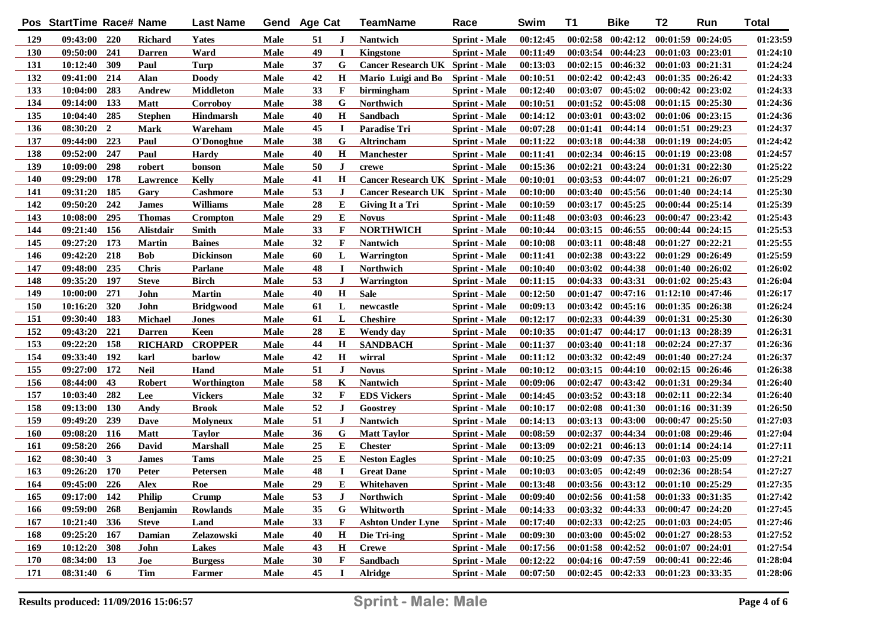|     | Pos StartTime Race# Name |                |                  | <b>Last Name</b> |      | Gend Age Cat |              | TeamName                                | Race                 | Swim     | T1       | <b>Bike</b>                         | T2                    | Run                   | <b>Total</b> |
|-----|--------------------------|----------------|------------------|------------------|------|--------------|--------------|-----------------------------------------|----------------------|----------|----------|-------------------------------------|-----------------------|-----------------------|--------------|
| 129 | 09:43:00 220             |                | <b>Richard</b>   | <b>Yates</b>     | Male | 51           | J            | <b>Nantwich</b>                         | <b>Sprint - Male</b> | 00:12:45 |          | $00:02:58$ $00:42:12$               | $00:01:59$ $00:24:05$ |                       | 01:23:59     |
| 130 | 09:50:00                 | 241            | <b>Darren</b>    | Ward             | Male | 49           | $\mathbf I$  | <b>Kingstone</b>                        | <b>Sprint</b> - Male | 00:11:49 |          | $00:03:54$ $00:44:23$               | 00:01:03 00:23:01     |                       | 01:24:10     |
| 131 | 10:12:40                 | 309            | Paul             | Turp             | Male | 37           | G            | Cancer Research UK Sprint - Male        |                      | 00:13:03 |          | $00:02:15$ $00:46:32$               | 00:01:03 00:21:31     |                       | 01:24:24     |
| 132 | 09:41:00                 | 214            | Alan             | <b>Doody</b>     | Male | 42           | $\mathbf H$  | Mario Luigi and Bo                      | <b>Sprint - Male</b> | 00:10:51 |          | $00:02:42$ $00:42:43$               | $00:01:35$ $00:26:42$ |                       | 01:24:33     |
| 133 | 10:04:00                 | 283            | Andrew           | <b>Middleton</b> | Male | 33           | $\mathbf F$  | birmingham                              | <b>Sprint</b> - Male | 00:12:40 |          | 00:03:07 00:45:02                   | $00:00:42$ $00:23:02$ |                       | 01:24:33     |
| 134 | 09:14:00                 | 133            | <b>Matt</b>      | Corroboy         | Male | 38           | G            | <b>Northwich</b>                        | <b>Sprint - Male</b> | 00:10:51 |          | $00:01:52$ $00:45:08$               | $00:01:15$ $00:25:30$ |                       | 01:24:36     |
| 135 | 10:04:40                 | 285            | <b>Stephen</b>   | <b>Hindmarsh</b> | Male | 40           | $\mathbf H$  | Sandbach                                | <b>Sprint</b> - Male | 00:14:12 |          | $00:03:01$ $00:43:02$               | 00:01:06 00:23:15     |                       | 01:24:36     |
| 136 | 08:30:20                 | $\overline{2}$ | Mark             | Wareham          | Male | 45           | $\mathbf I$  | <b>Paradise Tri</b>                     | <b>Sprint</b> - Male | 00:07:28 |          | $00:01:41$ $00:44:14$               | $00:01:51$ $00:29:23$ |                       | 01:24:37     |
| 137 | 09:44:00                 | 223            | Paul             | O'Donoghue       | Male | 38           | G            | Altrincham                              | <b>Sprint - Male</b> | 00:11:22 |          | $00:03:18$ $00:44:38$               | $00:01:19$ $00:24:05$ |                       | 01:24:42     |
| 138 | 09:52:00                 | 247            | Paul             | <b>Hardy</b>     | Male | 40           | $\mathbf H$  | <b>Manchester</b>                       | <b>Sprint</b> - Male | 00:11:41 |          | $00:02:34$ $00:46:15$               | $00:01:19$ $00:23:08$ |                       | 01:24:57     |
| 139 | 10:09:00                 | 298            | robert           | bonson           | Male | 50           | J            | crewe                                   | <b>Sprint</b> - Male | 00:15:36 |          | $00:02:21$ $00:43:24$               | 00:01:31 00:22:30     |                       | 01:25:22     |
| 140 | 09:29:00                 | 178            | <b>Lawrence</b>  | <b>Kelly</b>     | Male | 41           | $\mathbf H$  | <b>Cancer Research UK Sprint - Male</b> |                      | 00:10:01 |          | 00:03:53 00:44:07                   | 00:01:21 00:26:07     |                       | 01:25:29     |
| 141 | 09:31:20                 | 185            | Gary             | <b>Cashmore</b>  | Male | 53           | J            | <b>Cancer Research UK Sprint - Male</b> |                      | 00:10:00 |          | 00:03:40 00:45:56                   | $00:01:40$ $00:24:14$ |                       | 01:25:30     |
| 142 | 09:50:20                 | 242            | <b>James</b>     | <b>Williams</b>  | Male | 28           | E            | Giving It a Tri                         | <b>Sprint</b> - Male | 00:10:59 |          | 00:03:17 00:45:25                   |                       | $00:00:44$ $00:25:14$ | 01:25:39     |
| 143 | 10:08:00                 | 295            | <b>Thomas</b>    | Crompton         | Male | 29           | E            | <b>Novus</b>                            | <b>Sprint</b> - Male | 00:11:48 |          | $00:03:03$ $00:46:23$               |                       | $00:00:47$ $00:23:42$ | 01:25:43     |
| 144 | 09:21:40                 | 156            | <b>Alistdair</b> | Smith            | Male | 33           | $\mathbf F$  | <b>NORTHWICH</b>                        | <b>Sprint</b> - Male | 00:10:44 |          | $00:03:15$ $00:46:55$               |                       | $00:00:44$ $00:24:15$ | 01:25:53     |
| 145 | 09:27:20                 | 173            | <b>Martin</b>    | <b>Baines</b>    | Male | 32           | $\mathbf{F}$ | Nantwich                                | <b>Sprint</b> - Male | 00:10:08 |          | 00:03:11 00:48:48                   | $00:01:27$ $00:22:21$ |                       | 01:25:55     |
| 146 | 09:42:20                 | 218            | <b>Bob</b>       | <b>Dickinson</b> | Male | 60           | L            | Warrington                              | <b>Sprint</b> - Male | 00:11:41 |          | 00:02:38 00:43:22                   | 00:01:29 00:26:49     |                       | 01:25:59     |
| 147 | 09:48:00                 | 235            | <b>Chris</b>     | <b>Parlane</b>   | Male | 48           | П            | Northwich                               | <b>Sprint</b> - Male | 00:10:40 |          | 00:03:02 00:44:38                   |                       | $00:01:40$ $00:26:02$ | 01:26:02     |
| 148 | 09:35:20                 | 197            | <b>Steve</b>     | Birch            | Male | 53           | J            | Warrington                              | <b>Sprint - Male</b> | 00:11:15 |          | $00:04:33$ $00:43:31$               |                       | $00:01:02$ $00:25:43$ | 01:26:04     |
| 149 | 10:00:00                 | 271            | John             | <b>Martin</b>    | Male | 40           | $\mathbf H$  | <b>Sale</b>                             | <b>Sprint</b> - Male | 00:12:50 |          | $00:01:47$ $00:47:16$               | $01:12:10$ $00:47:46$ |                       | 01:26:17     |
| 150 | 10:16:20                 | 320            | John             | <b>Bridgwood</b> | Male | 61           | L            | newcastle                               | <b>Sprint</b> - Male | 00:09:13 |          | $00:03:42$ $00:45:16$               |                       | $00:01:35$ $00:26:38$ | 01:26:24     |
| 151 | 09:30:40                 | 183            | <b>Michael</b>   | Jones            | Male | 61           | L            | <b>Cheshire</b>                         | <b>Sprint</b> - Male | 00:12:17 |          | 00:02:33 00:44:39                   |                       | $00:01:31$ $00:25:30$ | 01:26:30     |
| 152 | 09:43:20                 | 221            | <b>Darren</b>    | Keen             | Male | 28           | Е            | Wendy day                               | <b>Sprint</b> - Male | 00:10:35 |          | $00:01:47$ $00:44:17$               |                       | 00:01:13 00:28:39     | 01:26:31     |
| 153 | 09:22:20                 | 158            | RICHARD          | <b>CROPPER</b>   | Male | 44           | $\mathbf H$  | SANDBACH                                | <b>Sprint</b> - Male | 00:11:37 |          | $00:03:40$ $00:41:18$               | $00:02:24$ $00:27:37$ |                       | 01:26:36     |
| 154 | 09:33:40                 | 192            | karl             | barlow           | Male | 42           | $\mathbf H$  | wirral                                  | <b>Sprint</b> - Male | 00:11:12 |          | $00:03:32$ $00:42:49$               |                       | 00:01:40 00:27:24     | 01:26:37     |
| 155 | 09:27:00                 | 172            | <b>Neil</b>      | Hand             | Male | 51           | J            | <b>Novus</b>                            | <b>Sprint</b> - Male | 00:10:12 |          | $00:03:15$ $00:44:10$               |                       | $00:02:15$ $00:26:46$ | 01:26:38     |
| 156 | 08:44:00                 | 43             | <b>Robert</b>    | Worthington      | Male | 58           | K            | <b>Nantwich</b>                         | <b>Sprint</b> - Male | 00:09:06 | 00:02:47 | 00:43:42                            |                       | 00:01:31 00:29:34     | 01:26:40     |
| 157 | 10:03:40                 | 282            | Lee              | <b>Vickers</b>   | Male | 32           | $\mathbf F$  | <b>EDS Vickers</b>                      | <b>Sprint</b> - Male | 00:14:45 |          | 00:03:52 00:43:18                   |                       | 00:02:11 00:22:34     | 01:26:40     |
| 158 | 09:13:00                 | <b>130</b>     | Andy             | Brook            | Male | 52           | J            | Goostrey                                | <b>Sprint</b> - Male | 00:10:17 |          | 00:02:08 00:41:30                   |                       | 00:01:16 00:31:39     | 01:26:50     |
| 159 | 09:49:20                 | 239            | <b>Dave</b>      | <b>Molyneux</b>  | Male | 51           | J            | Nantwich                                | <b>Sprint</b> - Male | 00:14:13 |          | 00:03:13 00:43:00                   |                       | 00:00:47 00:25:50     | 01:27:03     |
| 160 | 09:08:20                 | 116            | Matt             | <b>Taylor</b>    | Male | 36           | G            | <b>Matt Taylor</b>                      | <b>Sprint</b> - Male | 00:08:59 |          | 00:02:37 00:44:34                   |                       | 00:01:08 00:29:46     | 01:27:04     |
| 161 | 09:58:20                 | 266            | David            | Marshall         | Male | 25           | Е            | <b>Chester</b>                          | <b>Sprint</b> - Male | 00:13:09 |          | $00:02:21$ $00:46:13$               |                       | $00:01:14$ $00:24:14$ | 01:27:11     |
| 162 | 08:30:40                 | $\mathbf{3}$   | <b>James</b>     | Tams             | Male | 25           | Е            | <b>Neston Eagles</b>                    | <b>Sprint</b> - Male | 00:10:25 |          | 00:03:09 00:47:35                   |                       | 00:01:03 00:25:09     | 01:27:21     |
| 163 | $09:26:20$ 170           |                | Peter            | Petersen         | Male | 48           | $\mathbf I$  | <b>Great Dane</b>                       | <b>Sprint</b> - Male | 00:10:03 |          | $00:03:05$ $00:42:49$               | 00:02:36 00:28:54     |                       | 01:27:27     |
| 164 | 09:45:00 226             |                | Alex             | Roe              | Male | 29           | E            | Whitehaven                              | <b>Sprint - Male</b> | 00:13:48 |          | $00:03:56$ $00:43:12$               | $00:01:10$ $00:25:29$ |                       | 01:27:35     |
| 165 | $09:17:00$ 142           |                | <b>Philip</b>    | Crump            | Male | 53           | J            | <b>Northwich</b>                        | <b>Sprint - Male</b> | 00:09:40 |          | 00:02:56 00:41:58 00:01:33 00:31:35 |                       |                       | 01:27:42     |
| 166 | 09:59:00                 | 268            | <b>Benjamin</b>  | <b>Rowlands</b>  | Male | 35           | G            | Whitworth                               | <b>Sprint - Male</b> | 00:14:33 |          | $00:03:32$ $00:44:33$               | $00:00:47$ $00:24:20$ |                       | 01:27:45     |
| 167 | 10:21:40 336             |                | <b>Steve</b>     | Land             | Male | 33           | F            | <b>Ashton Under Lyne</b>                | <b>Sprint - Male</b> | 00:17:40 |          | $00:02:33$ $00:42:25$               | $00:01:03$ $00:24:05$ |                       | 01:27:46     |
| 168 | 09:25:20 167             |                | Damian           | Zelazowski       | Male | 40           | H            | Die Tri-ing                             | <b>Sprint - Male</b> | 00:09:30 |          | $00:03:00$ $00:45:02$               | $00:01:27$ $00:28:53$ |                       | 01:27:52     |
| 169 | 10:12:20 308             |                | John             | Lakes            | Male | 43           | H            | <b>Crewe</b>                            | <b>Sprint - Male</b> | 00:17:56 |          | $00:01:58$ $00:42:52$               | $00:01:07$ $00:24:01$ |                       | 01:27:54     |
| 170 | 08:34:00 13              |                | Joe              | <b>Burgess</b>   | Male | 30           | $\mathbf{F}$ | Sandbach                                | <b>Sprint - Male</b> | 00:12:22 |          | 00:04:16 00:47:59                   | 00:00:41 00:22:46     |                       | 01:28:04     |
| 171 | $08:31:40$ 6             |                | Tim              | Farmer           | Male | 45           | I            | <b>Alridge</b>                          | <b>Sprint</b> - Male | 00:07:50 |          | 00:02:45 00:42:33 00:01:23 00:33:35 |                       |                       | 01:28:06     |
|     |                          |                |                  |                  |      |              |              |                                         |                      |          |          |                                     |                       |                       |              |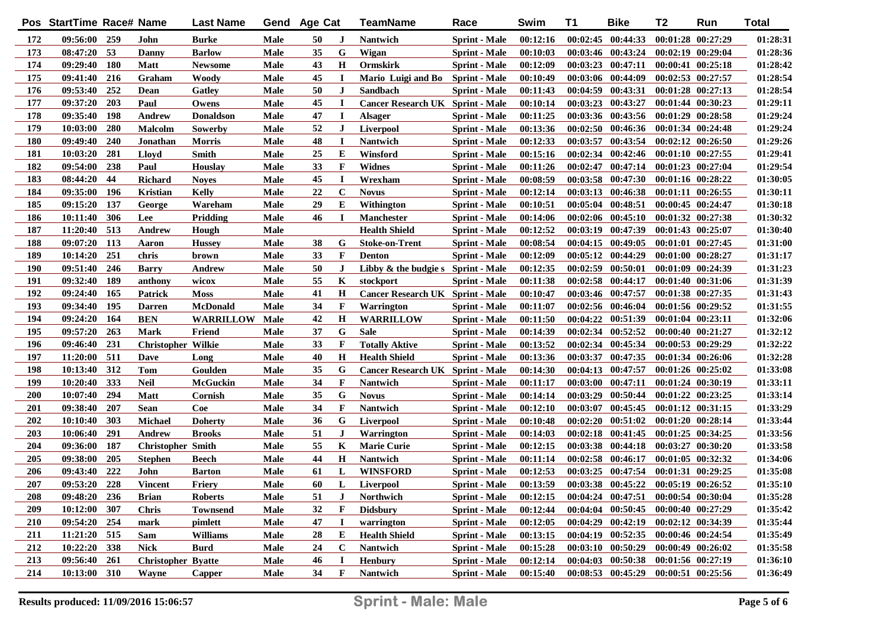|     | Pos StartTime Race# Name |            |                           | <b>Last Name</b> | Gend | Age Cat |              | <b>TeamName</b>                       | Race                 | Swim     | T1       | <b>Bike</b>                         | T <sub>2</sub>        | Run                   | <b>Total</b> |
|-----|--------------------------|------------|---------------------------|------------------|------|---------|--------------|---------------------------------------|----------------------|----------|----------|-------------------------------------|-----------------------|-----------------------|--------------|
| 172 | 09:56:00 259             |            | John                      | Burke            | Male | 50      | J            | <b>Nantwich</b>                       | <b>Sprint</b> - Male | 00:12:16 |          | $00:02:45$ $00:44:33$               | 00:01:28 00:27:29     |                       | 01:28:31     |
| 173 | 08:47:20                 | 53         | Danny                     | <b>Barlow</b>    | Male | 35      | G            | Wigan                                 | <b>Sprint</b> - Male | 00:10:03 |          | 00:03:46 00:43:24                   | $00:02:19$ $00:29:04$ |                       | 01:28:36     |
| 174 | 09:29:40                 | <b>180</b> | Matt                      | <b>Newsome</b>   | Male | 43      | Н            | <b>Ormskirk</b>                       | <b>Sprint</b> - Male | 00:12:09 |          | $00:03:23$ $00:47:11$               | $00:00:41$ $00:25:18$ |                       | 01:28:42     |
| 175 | 09:41:40                 | 216        | Graham                    | Woody            | Male | 45      | П            | Mario Luigi and Bo Sprint - Male      |                      | 00:10:49 |          | 00:03:06 00:44:09                   | $00:02:53$ $00:27:57$ |                       | 01:28:54     |
| 176 | 09:53:40                 | 252        | Dean                      | <b>Gatley</b>    | Male | 50      | J            | <b>Sandbach</b>                       | <b>Sprint</b> - Male | 00:11:43 |          | 00:04:59 00:43:31                   | 00:01:28 00:27:13     |                       | 01:28:54     |
| 177 | 09:37:20                 | 203        | Paul                      | Owens            | Male | 45      | п            | Cancer Research UK Sprint - Male      |                      | 00:10:14 |          | 00:03:23 00:43:27                   | 00:01:44 00:30:23     |                       | 01:29:11     |
| 178 | 09:35:40                 | 198        | Andrew                    | <b>Donaldson</b> | Male | 47      | $\mathbf I$  | <b>Alsager</b>                        | <b>Sprint</b> - Male | 00:11:25 |          | 00:03:36 00:43:56                   | $00:01:29$ $00:28:58$ |                       | 01:29:24     |
| 179 | 10:03:00                 | 280        | Malcolm                   | Sowerby          | Male | 52      | J            | <b>Liverpool</b>                      | <b>Sprint</b> - Male | 00:13:36 |          | $00:02:50$ $00:46:36$               | 00:01:34 00:24:48     |                       | 01:29:24     |
| 180 | 09:49:40                 | 240        | Jonathan                  | <b>Morris</b>    | Male | 48      | $\mathbf I$  | Nantwich                              | <b>Sprint</b> - Male | 00:12:33 | 00:03:57 | 00:43:54                            | $00:02:12$ $00:26:50$ |                       | 01:29:26     |
| 181 | 10:03:20                 | 281        | Lloyd                     | Smith            | Male | 25      | Е            | Winsford                              | <b>Sprint</b> - Male | 00:15:16 |          | $00:02:34$ $00:42:46$               | $00:01:10$ $00:27:55$ |                       | 01:29:41     |
| 182 | 09:54:00                 | 238        | Paul                      | <b>Houslay</b>   | Male | 33      | F            | <b>Widnes</b>                         | <b>Sprint</b> - Male | 00:11:26 |          | $00:02:47$ $00:47:14$               | $00:01:23$ $00:27:04$ |                       | 01:29:54     |
| 183 | 08:44:20                 | 44         | <b>Richard</b>            | <b>Noyes</b>     | Male | 45      | $\bf{I}$     | Wrexham                               | <b>Sprint</b> - Male | 00:08:59 |          | $00:03:58$ $00:47:30$               | $00:01:16$ $00:28:22$ |                       | 01:30:05     |
| 184 | 09:35:00                 | 196        | <b>Kristian</b>           | Kelly            | Male | 22      | $\mathbf C$  | <b>Novus</b>                          | <b>Sprint</b> - Male | 00:12:14 |          | $00:03:13$ $00:46:38$               | 00:01:11 00:26:55     |                       | 01:30:11     |
| 185 | 09:15:20                 | 137        | George                    | Wareham          | Male | 29      | E            | Withington                            | <b>Sprint</b> - Male | 00:10:51 |          | $00:05:04$ $00:48:51$               | 00:00:45 00:24:47     |                       | 01:30:18     |
| 186 | 10:11:40                 | 306        | Lee                       | Pridding         | Male | 46      | П            | <b>Manchester</b>                     | <b>Sprint</b> - Male | 00:14:06 |          | $00:02:06$ $00:45:10$               | 00:01:32 00:27:38     |                       | 01:30:32     |
| 187 | 11:20:40                 | 513        | Andrew                    | Hough            | Male |         |              | <b>Health Shield</b>                  | <b>Sprint</b> - Male | 00:12:52 | 00:03:19 | 00:47:39                            | $00:01:43$ $00:25:07$ |                       | 01:30:40     |
| 188 | 09:07:20                 | 113        | Aaron                     | <b>Hussey</b>    | Male | 38      | G            | <b>Stoke-on-Trent</b>                 | <b>Sprint</b> - Male | 00:08:54 |          | $00:04:15$ $00:49:05$               | $00:01:01$ $00:27:45$ |                       | 01:31:00     |
| 189 | 10:14:20                 | 251        | chris                     | brown            | Male | 33      | F            | <b>Denton</b>                         | <b>Sprint</b> - Male | 00:12:09 |          | $00:05:12$ $00:44:29$               | $00:01:00$ $00:28:27$ |                       | 01:31:17     |
| 190 | 09:51:40                 | 246        | <b>Barry</b>              | <b>Andrew</b>    | Male | 50      | $\bf J$      | Libby $\&$ the budgie s Sprint - Male |                      | 00:12:35 | 00:02:59 | 00:50:01                            | 00:01:09 00:24:39     |                       | 01:31:23     |
| 191 | 09:32:40                 | 189        | anthony                   | wicox            | Male | 55      | K            | stockport                             | <b>Sprint</b> - Male | 00:11:38 |          | 00:02:58 00:44:17                   | 00:01:40 00:31:06     |                       | 01:31:39     |
| 192 | 09:24:40                 | 165        | Patrick                   | <b>Moss</b>      | Male | 41      | $\bf H$      | Cancer Research UK Sprint - Male      |                      | 00:10:47 |          | 00:03:46 00:47:57                   | 00:01:38 00:27:35     |                       | 01:31:43     |
| 193 | 09:34:40                 | 195        | Darren                    | <b>McDonald</b>  | Male | 34      | F            | Warrington                            | <b>Sprint</b> - Male | 00:11:07 |          | 00:02:56 00:46:04                   | 00:01:56 00:29:52     |                       | 01:31:55     |
| 194 | 09:24:20                 | 164        | <b>BEN</b>                | <b>WARRILLOW</b> | Male | 42      | $\bf H$      | <b>WARRILLOW</b>                      | <b>Sprint</b> - Male | 00:11:50 |          | 00:04:22 00:51:39                   | $00:01:04$ $00:23:11$ |                       | 01:32:06     |
| 195 | 09:57:20                 | 263        | <b>Mark</b>               | Friend           | Male | 37      | G            | <b>Sale</b>                           | <b>Sprint</b> - Male | 00:14:39 |          | $00:02:34$ $00:52:52$               | $00:00:40$ $00:21:27$ |                       | 01:32:12     |
| 196 | 09:46:40                 | 231        | <b>Christopher Wilkie</b> |                  | Male | 33      | F            | <b>Totally Aktive</b>                 | <b>Sprint</b> - Male | 00:13:52 |          | 00:02:34 00:45:34                   | 00:00:53 00:29:29     |                       | 01:32:22     |
| 197 | 11:20:00                 | 511        | Dave                      | Long             | Male | 40      | $\bf H$      | <b>Health Shield</b>                  | <b>Sprint</b> - Male | 00:13:36 |          | 00:03:37 00:47:35                   | 00:01:34 00:26:06     |                       | 01:32:28     |
| 198 | 10:13:40                 | 312        | Tom                       | Goulden          | Male | 35      | G            | Cancer Research UK Sprint - Male      |                      | 00:14:30 |          | 00:04:13 00:47:57                   | $00:01:26$ $00:25:02$ |                       | 01:33:08     |
| 199 | 10:20:40                 | 333        | <b>Neil</b>               | McGuckin         | Male | 34      | $\mathbf{F}$ | Nantwich                              | <b>Sprint</b> - Male | 00:11:17 | 00:03:00 | 00:47:11                            | 00:01:24 00:30:19     |                       | 01:33:11     |
| 200 | 10:07:40                 | 294        | <b>Matt</b>               | Cornish          | Male | 35      | G            | <b>Novus</b>                          | <b>Sprint</b> - Male | 00:14:14 | 00:03:29 | 00:50:44                            | 00:01:22 00:23:25     |                       | 01:33:14     |
| 201 | 09:38:40                 | 207        | <b>Sean</b>               | Coe              | Male | 34      | F            | <b>Nantwich</b>                       | <b>Sprint</b> - Male | 00:12:10 | 00:03:07 | 00:45:45                            | $00:01:12$ $00:31:15$ |                       | 01:33:29     |
| 202 | 10:10:40                 | 303        | Michael                   | <b>Doherty</b>   | Male | 36      | G            | <b>Liverpool</b>                      | <b>Sprint</b> - Male | 00:10:48 | 00:02:20 | 00:51:02                            | 00:01:20 00:28:14     |                       | 01:33:44     |
| 203 | 10:06:40                 | 291        | <b>Andrew</b>             | <b>Brooks</b>    | Male | 51      | J            | Warrington                            | <b>Sprint</b> - Male | 00:14:03 |          | $00:02:18$ $00:41:45$               | $00:01:25$ $00:34:25$ |                       | 01:33:56     |
| 204 | 09:36:00                 | 187        | <b>Christopher Smith</b>  |                  | Male | 55      | K            | <b>Marie Curie</b>                    | <b>Sprint</b> - Male | 00:12:15 |          | 00:03:38 00:44:18                   | 00:03:27 00:30:20     |                       | 01:33:58     |
| 205 | 09:38:00                 | 205        | Stephen                   | <b>Beech</b>     | Male | 44      | Н            | <b>Nantwich</b>                       | <b>Sprint</b> - Male | 00:11:14 |          | $00:02:58$ $00:46:17$               |                       | $00:01:05$ $00:32:32$ | 01:34:06     |
| 206 | 09:43:40                 | 222        | John                      | <b>Barton</b>    | Male | 61      | L            | <b>WINSFORD</b>                       | <b>Sprint</b> - Male | 00:12:53 | 00:03:25 | 00:47:54                            | 00:01:31 00:29:25     |                       | 01:35:08     |
| 207 | 09:53:20                 | 228        | <b>Vincent</b>            | Friery           | Male | 60      | L            | <b>Liverpool</b>                      | <b>Sprint</b> - Male | 00:13:59 |          | 00:03:38 00:45:22                   | 00:05:19 00:26:52     |                       | 01:35:10     |
| 208 | 09:48:20 236             |            | <b>Brian</b>              | <b>Roberts</b>   | Male | 51      | $\bf J$      | Northwich                             | <b>Sprint</b> - Male | 00:12:15 |          | 00:04:24 00:47:51 00:00:54 00:30:04 |                       |                       | 01:35:28     |
| 209 | 10:12:00 307             |            | <b>Chris</b>              | <b>Townsend</b>  | Male | 32      | F            | <b>Didsbury</b>                       | <b>Sprint</b> - Male | 00:12:44 |          | $00:04:04$ $00:50:45$               | $00:00:40$ $00:27:29$ |                       | 01:35:42     |
| 210 | 09:54:20 254             |            | mark                      | pimlett          | Male | 47      | L            | warrington                            | <b>Sprint</b> - Male | 00:12:05 |          | $00:04:29$ $00:42:19$               | 00:02:12 00:34:39     |                       | 01:35:44     |
| 211 | 11:21:20 515             |            | Sam                       | <b>Williams</b>  | Male | 28      | E            | <b>Health Shield</b>                  | <b>Sprint</b> - Male | 00:13:15 |          | $00:04:19$ $00:52:35$               | $00:00:46$ $00:24:54$ |                       | 01:35:49     |
| 212 | 10:22:20 338             |            | <b>Nick</b>               | <b>Burd</b>      | Male | 24      | $\mathbf C$  | Nantwich                              | <b>Sprint</b> - Male | 00:15:28 |          | $00:03:10$ $00:50:29$               | $00:00:49$ $00:26:02$ |                       | 01:35:58     |
| 213 | 09:56:40                 | 261        | <b>Christopher Byatte</b> |                  | Male | 46      | П            | <b>Henbury</b>                        | <b>Sprint - Male</b> | 00:12:14 |          | $00:04:03$ $00:50:38$               | 00:01:56 00:27:19     |                       | 01:36:10     |
| 214 | 10:13:00 310             |            | Wayne                     | Capper           | Male | 34      | F            | Nantwich                              | <b>Sprint</b> - Male | 00:15:40 |          | 00:08:53 00:45:29 00:00:51 00:25:56 |                       |                       | 01:36:49     |